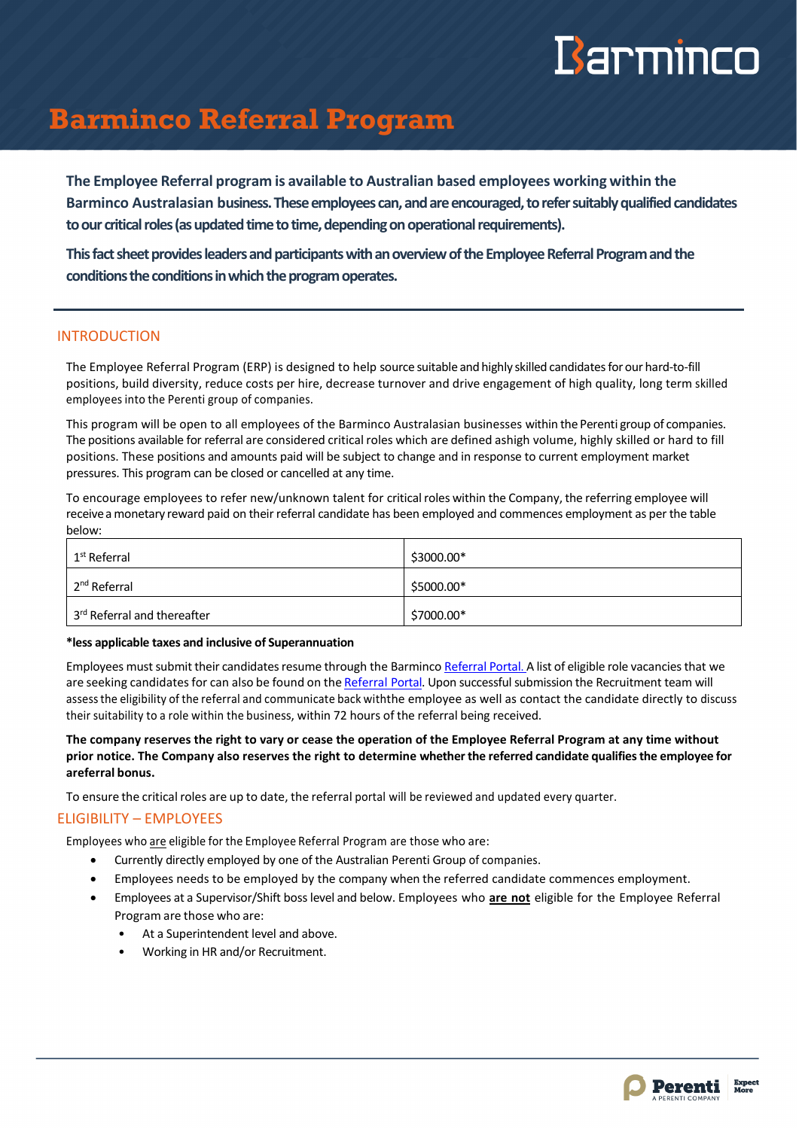# Barminco

### **Barminco Referral Program**

**The Employee Referral program is available to Australian based employees working within the Barminco Australasian business.These employees can, and are encouraged, torefer suitablyqualified candidates**  to our critical roles (as updated time to time, depending on operational requirements).

**Thisfact sheet provides leaders and participants with an overview of the Employee Referral Program and the conditions the conditions in which the program operates.**

#### INTRODUCTION

The Employee Referral Program (ERP) is designed to help source suitable and highly skilled candidatesfor our hard-to-fill positions, build diversity, reduce costs per hire, decrease turnover and drive engagement of high quality, long term skilled employees into the Perenti group of companies.

This program will be open to all employees of the Barminco Australasian businesses within the Perenti group of companies. The positions available for referral are considered critical roles which are defined ashigh volume, highly skilled or hard to fill positions. These positions and amounts paid will be subject to change and in response to current employment market pressures. This program can be closed or cancelled at any time.

To encourage employees to refer new/unknown talent for critical roles within the Company, the referring employee will receivea monetary reward paid on their referral candidate has been employed and commences employment as per the table below:

| 1 <sup>st</sup> Referral    | \$3000.00* |
|-----------------------------|------------|
| 2 <sup>nd</sup> Referral    | \$5000.00* |
| 3rd Referral and thereafter | \$7000.00* |

#### **\*less applicable taxes and inclusive of Superannuation**

Employees must submit their candidates resume through the Barminco [Referral](https://barminco.com.au/careers/employee-referral-program/) Portal. A list of eligible role vacancies that we are seeking candidates for can also be found on the [Referral](https://barminco.com.au/careers/employee-referral-program/) Portal. Upon successful submission the Recruitment team will assessthe eligibility of the referral and communicate back withthe employee as well as contact the candidate directly to discuss their suitability to a role within the business, within 72 hours of the referral being received.

**The company reserves the right to vary or cease the operation of the Employee Referral Program at any time without prior notice. The Company also reserves the right to determine whetherthe referred candidate qualifiesthe employee for areferral bonus.**

To ensure the critical roles are up to date, the referral portal will be reviewed and updated every quarter.

#### ELIGIBILITY – EMPLOYEES

Employees who are eligible for the Employee Referral Program are those who are:

- Currently directly employed by one of the Australian Perenti Group of companies.
- Employees needs to be employed by the company when the referred candidate commences employment.
- Employees at a Supervisor/Shift boss level and below. Employees who **are not** eligible for the Employee Referral Program are those who are:
	- At a Superintendent level and above.
	- Working in HR and/or Recruitment.